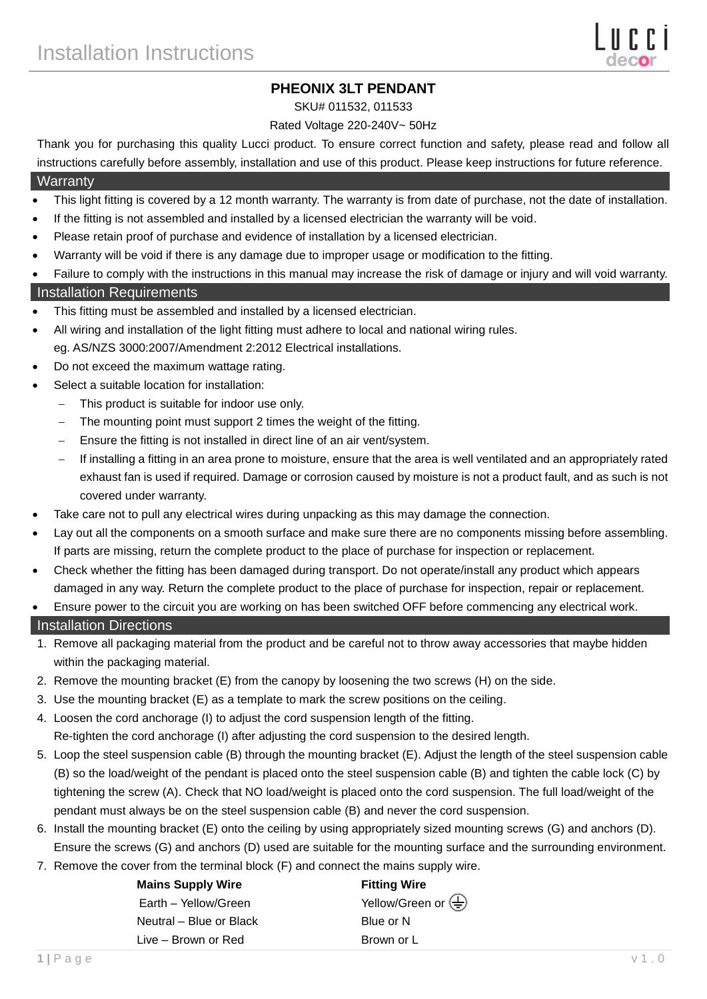# **PHEONIX 3LT PENDANT**

#### SKU# 011532, 011533

### Rated Voltage 220-240V~ 50Hz

Thank you for purchasing this quality Lucci product. To ensure correct function and safety, please read and follow all instructions carefully before assembly, installation and use of this product. Please keep instructions for future reference.

## **Warranty**

- This light fitting is covered by a 12 month warranty. The warranty is from date of purchase, not the date of installation.
- If the fitting is not assembled and installed by a licensed electrician the warranty will be void.
- Please retain proof of purchase and evidence of installation by a licensed electrician.
- Warranty will be void if there is any damage due to improper usage or modification to the fitting.
- Failure to comply with the instructions in this manual may increase the risk of damage or injury and will void warranty. Installation Requirements
- This fitting must be assembled and installed by a licensed electrician.
- All wiring and installation of the light fitting must adhere to local and national wiring rules. eg. AS/NZS 3000:2007/Amendment 2:2012 Electrical installations.
- Do not exceed the maximum wattage rating.
- Select a suitable location for installation:
	- This product is suitable for indoor use only.
	- The mounting point must support 2 times the weight of the fitting.
	- Ensure the fitting is not installed in direct line of an air vent/system.
	- If installing a fitting in an area prone to moisture, ensure that the area is well ventilated and an appropriately rated exhaust fan is used if required. Damage or corrosion caused by moisture is not a product fault, and as such is not covered under warranty.
- Take care not to pull any electrical wires during unpacking as this may damage the connection.
- Lay out all the components on a smooth surface and make sure there are no components missing before assembling. If parts are missing, return the complete product to the place of purchase for inspection or replacement.
- Check whether the fitting has been damaged during transport. Do not operate/install any product which appears damaged in any way. Return the complete product to the place of purchase for inspection, repair or replacement.
- Ensure power to the circuit you are working on has been switched OFF before commencing any electrical work.

### Installation Directions

- 1. Remove all packaging material from the product and be careful not to throw away accessories that maybe hidden within the packaging material.
- 2. Remove the mounting bracket (E) from the canopy by loosening the two screws (H) on the side.
- 3. Use the mounting bracket (E) as a template to mark the screw positions on the ceiling.
- 4. Loosen the cord anchorage (I) to adjust the cord suspension length of the fitting. Re-tighten the cord anchorage (I) after adjusting the cord suspension to the desired length.
- 5. Loop the steel suspension cable (B) through the mounting bracket (E). Adjust the length of the steel suspension cable (B) so the load/weight of the pendant is placed onto the steel suspension cable (B) and tighten the cable lock (C) by tightening the screw (A). Check that NO load/weight is placed onto the cord suspension. The full load/weight of the pendant must always be on the steel suspension cable (B) and never the cord suspension.
- 6. Install the mounting bracket (E) onto the ceiling by using appropriately sized mounting screws (G) and anchors (D). Ensure the screws (G) and anchors (D) used are suitable for the mounting surface and the surrounding environment.
- 7. Remove the cover from the terminal block (F) and connect the mains supply wire.

| <b>Mains Supply Wire</b> | <b>Fitting Wire</b>                             |
|--------------------------|-------------------------------------------------|
| Earth - Yellow/Green     | Yellow/Green or $\left(\frac{\Gamma}{n}\right)$ |
| Neutral – Blue or Black  | Blue or N                                       |
| Live – Brown or Red      | Brown or L                                      |